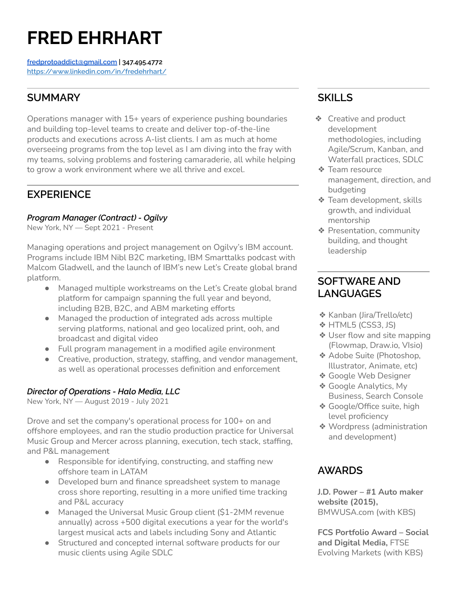# **FRED EHRHART**

**[fredprotoaddict@gmail.com](mailto:fredprotoaddict@gmail.com) | 347.495.4772 <https://www.linkedin.com/in/fredehrhart/>**

# **SUMMARY**

Operations manager with 15+ years of experience pushing boundaries and building top-level teams to create and deliver top-of-the-line products and executions across A-list clients. I am as much at home overseeing programs from the top level as I am diving into the fray with my teams, solving problems and fostering camaraderie, all while helping to grow a work environment where we all thrive and excel.

# **EXPERIENCE**

#### *Program Manager (Contract) - Ogilvy*

New York, NY — Sept 2021 - Present

Managing operations and project management on Ogilvy's IBM account. Programs include IBM Nibl B2C marketing, IBM Smarttalks podcast with Malcom Gladwell, and the launch of IBM's new Let's Create global brand platform.

- Managed multiple workstreams on the Let's Create global brand platform for campaign spanning the full year and beyond, including B2B, B2C, and ABM marketing efforts
- Managed the production of integrated ads across multiple serving platforms, national and geo localized print, ooh, and broadcast and digital video
- Full program management in a modified agile environment
- Creative, production, strategy, staffing, and vendor management, as well as operational processes definition and enforcement

#### *Director of Operations - Halo Media, LLC*

New York, NY — August 2019 - July 2021

Drove and set the company's operational process for 100+ on and offshore employees, and ran the studio production practice for Universal Music Group and Mercer across planning, execution, tech stack, staffing, and P&L management

- Responsible for identifying, constructing, and staffing new offshore team in LATAM
- Developed burn and finance spreadsheet system to manage cross shore reporting, resulting in a more unified time tracking and P&L accuracy
- Managed the Universal Music Group client (\$1-2MM revenue annually) across +500 digital executions a year for the world's largest musical acts and labels including Sony and Atlantic
- Structured and concepted internal software products for our music clients using Agile SDLC

# **SKILLS**

- ❖ Creative and product development methodologies, including Agile/Scrum, Kanban, and Waterfall practices, SDLC
- ❖ Team resource management, direction, and budgeting
- ❖ Team development, skills growth, and individual mentorship
- ❖ Presentation, community building, and thought leadership

## **SOFTWARE AND LANGUAGES**

- ❖ Kanban (Jira/Trello/etc)
- ❖ HTML5 (CSS3, JS)
- ❖ User flow and site mapping (Flowmap, Draw.io, VIsio)
- ❖ Adobe Suite (Photoshop, Illustrator, Animate, etc)
- ❖ Google Web Designer
- ❖ Google Analytics, My Business, Search Console
- ❖ Google/Office suite, high level proficiency
- ❖ Wordpress (administration and development)

## **AWARDS**

**J.D. Power – #1 Auto maker website (2015),** BMWUSA.com (with KBS)

**FCS Portfolio Award – Social and Digital Media,** FTSE Evolving Markets (with KBS)